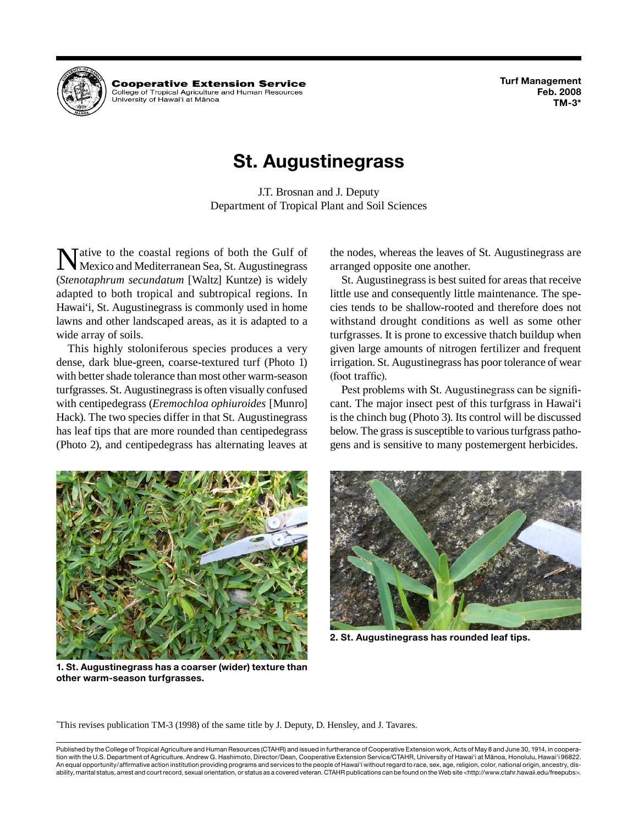**Turf Management Feb. 2008 TM-3\***



**Cooperative Extension Service** College of Tropical Agriculture and Human Resources University of Hawai'i at Mānoa

# **St. Augustinegrass**

J.T. Brosnan and J. Deputy Department of Tropical Plant and Soil Sciences

Mative to the coastal regions of both the Gulf of Mexico and Mediterranean Sea, St. Augustinegrass (*Stenotaphrum secundatum* [Waltz] Kuntze) is widely adapted to both tropical and subtropical regions. In Hawai'i, St. Augustinegrass is commonly used in home lawns and other landscaped areas, as it is adapted to a wide array of soils.

This highly stoloniferous species produces a very dense, dark blue-green, coarse-textured turf (Photo 1) with better shade tolerance than most other warm-season turfgrasses. St. Augustinegrass is often visually confused with centipedegrass (*Eremochloa ophiuroides* [Munro] Hack). The two species differ in that St. Augustinegrass has leaf tips that are more rounded than centipedegrass (Photo 2), and centipedegrass has alternating leaves at the nodes, whereas the leaves of St. Augustinegrass are arranged opposite one another.

St. Augustinegrass is best suited for areas that receive little use and consequently little maintenance. The species tends to be shallow-rooted and therefore does not withstand drought conditions as well as some other turfgrasses. It is prone to excessive thatch buildup when given large amounts of nitrogen fertilizer and frequent irrigation. St. Augustinegrass has poor tolerance of wear (foot traffic).

Pest problems with St. Augustinegrass can be significant. The major insect pest of this turfgrass in Hawai'i is the chinch bug (Photo 3). Its control will be discussed below. The grass is susceptible to various turfgrass pathogens and is sensitive to many postemergent herbicides.



**1. St. Augustinegrass has a coarser (wider) texture than other warm-season turfgrasses.**



**2. St. Augustinegrass has rounded leaf tips.**

\* This revises publication TM-3 (1998) of the same title by J. Deputy, D. Hensley, and J. Tavares.

Published by the College of Tropical Agriculture and Human Resources (CTAHR) and issued in furtherance of Cooperative Extension work, Acts of May 8 and June 30, 1914, in cooperation with the U.S. Department of Agriculture. Andrew G. Hashimoto, Director/Dean, Cooperative Extension Service/CTAHR, University of Hawai'i at Mänoa, Honolulu, Hawai'i 96822. An equal opportunity/affirmative action institution providing programs and services to the people of Hawai'i without regard to race, sex, age, religion, color, national origin, ancestry, disability, marital status, arrest and court record, sexual orientation, or status as a covered veteran. CTAHR publications can be found on the Web site <http://www.ctahr.hawaii.edu/freepubs>.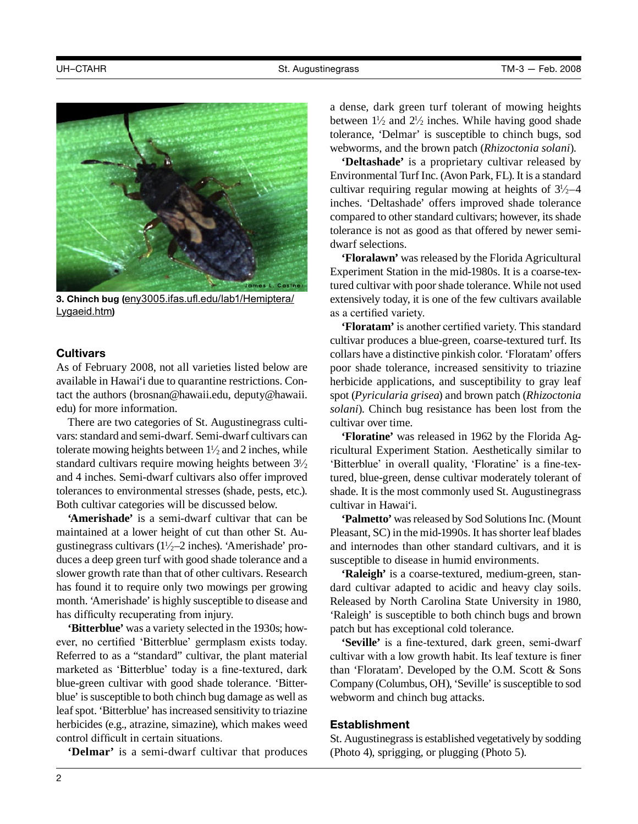

**3. Chinch bug (**eny3005.ifas.ufl.edu/lab1/Hemiptera/ Lygaeid.htm**)**

## **Cultivars**

As of February 2008, not all varieties listed below are available in Hawai'i due to quarantine restrictions. Contact the authors (brosnan@hawaii.edu, deputy@hawaii. edu) for more information.

There are two categories of St. Augustinegrass cultivars: standard and semi-dwarf. Semi-dwarf cultivars can tolerate mowing heights between  $1\frac{1}{2}$  and 2 inches, while standard cultivars require mowing heights between  $3\frac{1}{2}$ and 4 inches. Semi-dwarf cultivars also offer improved tolerances to environmental stresses (shade, pests, etc.). Both cultivar categories will be discussed below.

**'Amerishade'** is a semi-dwarf cultivar that can be maintained at a lower height of cut than other St. Augustinegrass cultivars  $(1\frac{1}{2}-2)$  inches). 'Amerishade' produces a deep green turf with good shade tolerance and a slower growth rate than that of other cultivars. Research has found it to require only two mowings per growing month. 'Amerishade' is highly susceptible to disease and has difficulty recuperating from injury.

**'Bitterblue'** was a variety selected in the 1930s; however, no certified 'Bitterblue' germplasm exists today. Referred to as a "standard" cultivar, the plant material marketed as 'Bitterblue' today is a fine-textured, dark blue-green cultivar with good shade tolerance. 'Bitterblue' is susceptible to both chinch bug damage as well as leaf spot. 'Bitterblue' has increased sensitivity to triazine herbicides (e.g., atrazine, simazine), which makes weed control difficult in certain situations.

**'Delmar'** is a semi-dwarf cultivar that produces

a dense, dark green turf tolerant of mowing heights between  $1\frac{1}{2}$  and  $2\frac{1}{2}$  inches. While having good shade tolerance, 'Delmar' is susceptible to chinch bugs, sod webworms, and the brown patch (*Rhizoctonia solani*).

**'Deltashade'** is a proprietary cultivar released by Environmental Turf Inc. (Avon Park, FL). It is a standard cultivar requiring regular mowing at heights of  $3\frac{1}{2}$ –4 inches. 'Deltashade' offers improved shade tolerance compared to other standard cultivars; however, its shade tolerance is not as good as that offered by newer semidwarf selections.

**'Floralawn'** was released by the Florida Agricultural Experiment Station in the mid-1980s. It is a coarse-textured cultivar with poor shade tolerance. While not used extensively today, it is one of the few cultivars available as a certified variety.

**'Floratam'** is another certified variety. This standard cultivar produces a blue-green, coarse-textured turf. Its collars have a distinctive pinkish color. 'Floratam' offers poor shade tolerance, increased sensitivity to triazine herbicide applications, and susceptibility to gray leaf spot (*Pyricularia grisea*) and brown patch (*Rhizoctonia solani*). Chinch bug resistance has been lost from the cultivar over time.

**'Floratine'** was released in 1962 by the Florida Agricultural Experiment Station. Aesthetically similar to 'Bitterblue' in overall quality, 'Floratine' is a fine-textured, blue-green, dense cultivar moderately tolerant of shade. It is the most commonly used St. Augustinegrass cultivar in Hawai'i.

**'Palmetto'** was released by Sod Solutions Inc. (Mount Pleasant, SC) in the mid-1990s. It has shorter leaf blades and internodes than other standard cultivars, and it is susceptible to disease in humid environments.

**'Raleigh'** is a coarse-textured, medium-green, standard cultivar adapted to acidic and heavy clay soils. Released by North Carolina State University in 1980, 'Raleigh' is susceptible to both chinch bugs and brown patch but has exceptional cold tolerance.

**'Seville'** is a fine-textured, dark green, semi-dwarf cultivar with a low growth habit. Its leaf texture is finer than 'Floratam'. Developed by the O.M. Scott & Sons Company (Columbus, OH), 'Seville' is susceptible to sod webworm and chinch bug attacks.

#### **Establishment**

St. Augustinegrass is established vegetatively by sodding (Photo 4), sprigging, or plugging (Photo 5).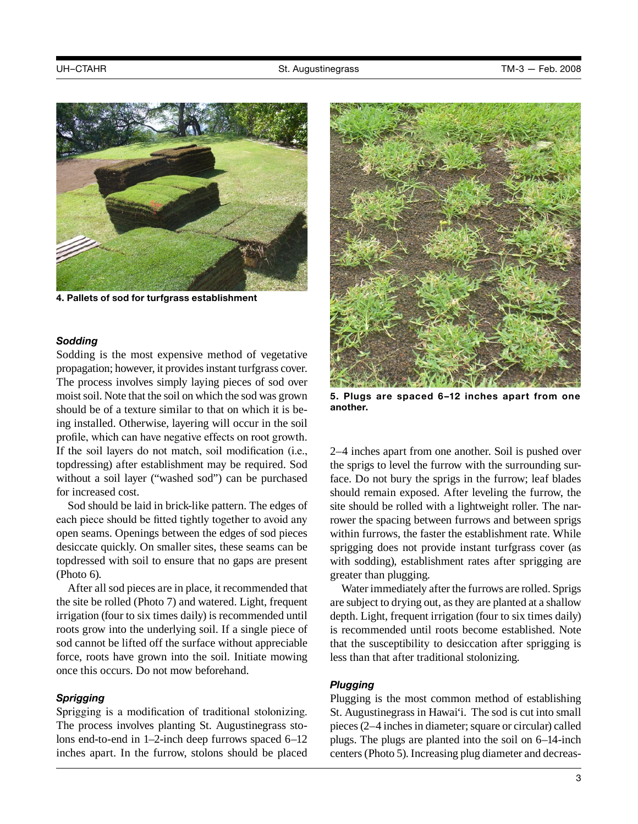

**4. Pallets of sod for turfgrass establishment**

#### *Sodding*

Sodding is the most expensive method of vegetative propagation; however, it provides instant turfgrass cover. The process involves simply laying pieces of sod over moist soil. Note that the soil on which the sod was grown should be of a texture similar to that on which it is being installed. Otherwise, layering will occur in the soil profile, which can have negative effects on root growth. If the soil layers do not match, soil modification (i.e., topdressing) after establishment may be required. Sod without a soil layer ("washed sod") can be purchased for increased cost.

Sod should be laid in brick-like pattern. The edges of each piece should be fitted tightly together to avoid any open seams. Openings between the edges of sod pieces desiccate quickly. On smaller sites, these seams can be topdressed with soil to ensure that no gaps are present (Photo 6).

After all sod pieces are in place, it recommended that the site be rolled (Photo 7) and watered. Light, frequent irrigation (four to six times daily) is recommended until roots grow into the underlying soil. If a single piece of sod cannot be lifted off the surface without appreciable force, roots have grown into the soil. Initiate mowing once this occurs. Do not mow beforehand.

## *Sprigging*

Sprigging is a modification of traditional stolonizing. The process involves planting St. Augustinegrass stolons end-to-end in 1–2-inch deep furrows spaced 6–12 inches apart. In the furrow, stolons should be placed



**5. Plugs are spaced 6–12 inches apart from one another.**

2–4 inches apart from one another. Soil is pushed over the sprigs to level the furrow with the surrounding surface. Do not bury the sprigs in the furrow; leaf blades should remain exposed. After leveling the furrow, the site should be rolled with a lightweight roller. The narrower the spacing between furrows and between sprigs within furrows, the faster the establishment rate. While sprigging does not provide instant turfgrass cover (as with sodding), establishment rates after sprigging are greater than plugging.

Water immediately after the furrows are rolled. Sprigs are subject to drying out, as they are planted at a shallow depth. Light, frequent irrigation (four to six times daily) is recommended until roots become established. Note that the susceptibility to desiccation after sprigging is less than that after traditional stolonizing.

#### *Plugging*

Plugging is the most common method of establishing St. Augustinegrass in Hawai'i. The sod is cut into small pieces (2–4 inches in diameter; square or circular) called plugs. The plugs are planted into the soil on 6–14-inch centers (Photo 5). Increasing plug diameter and decreas-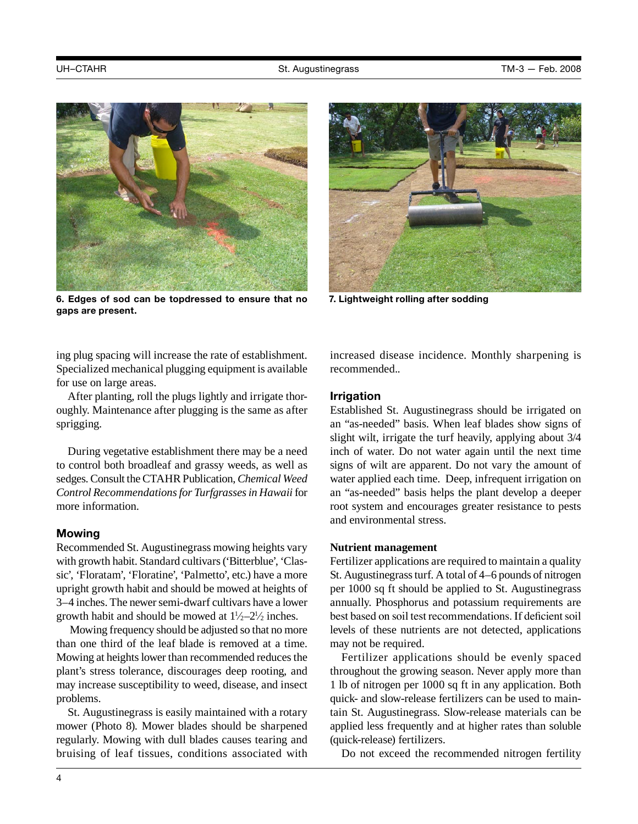

**6. Edges of sod can be topdressed to ensure that no gaps are present.** 

ing plug spacing will increase the rate of establishment. Specialized mechanical plugging equipment is available for use on large areas.

After planting, roll the plugs lightly and irrigate thoroughly. Maintenance after plugging is the same as after sprigging.

During vegetative establishment there may be a need to control both broadleaf and grassy weeds, as well as sedges. Consult the CTAHR Publication, *Chemical Weed Control Recommendations for Turfgrasses in Hawaii* for more information.

#### **Mowing**

Recommended St. Augustinegrass mowing heights vary with growth habit. Standard cultivars ('Bitterblue', 'Classic', 'Floratam', 'Floratine', 'Palmetto', etc.) have a more upright growth habit and should be mowed at heights of 3–4 inches. The newer semi-dwarf cultivars have a lower growth habit and should be mowed at  $1\frac{1}{2} - 2\frac{1}{2}$  inches.

 Mowing frequency should be adjusted so that no more than one third of the leaf blade is removed at a time. Mowing at heights lower than recommended reduces the plant's stress tolerance, discourages deep rooting, and may increase susceptibility to weed, disease, and insect problems.

St. Augustinegrass is easily maintained with a rotary mower (Photo 8). Mower blades should be sharpened regularly. Mowing with dull blades causes tearing and bruising of leaf tissues, conditions associated with



**7. Lightweight rolling after sodding**

increased disease incidence. Monthly sharpening is recommended..

#### **Irrigation**

Established St. Augustinegrass should be irrigated on an "as-needed" basis. When leaf blades show signs of slight wilt, irrigate the turf heavily, applying about 3/4 inch of water. Do not water again until the next time signs of wilt are apparent. Do not vary the amount of water applied each time. Deep, infrequent irrigation on an "as-needed" basis helps the plant develop a deeper root system and encourages greater resistance to pests and environmental stress.

#### **Nutrient management**

Fertilizer applications are required to maintain a quality St. Augustinegrass turf. A total of 4–6 pounds of nitrogen per 1000 sq ft should be applied to St. Augustinegrass annually. Phosphorus and potassium requirements are best based on soil test recommendations. If deficient soil levels of these nutrients are not detected, applications may not be required.

Fertilizer applications should be evenly spaced throughout the growing season. Never apply more than 1 lb of nitrogen per 1000 sq ft in any application. Both quick- and slow-release fertilizers can be used to maintain St. Augustinegrass. Slow-release materials can be applied less frequently and at higher rates than soluble (quick-release) fertilizers.

Do not exceed the recommended nitrogen fertility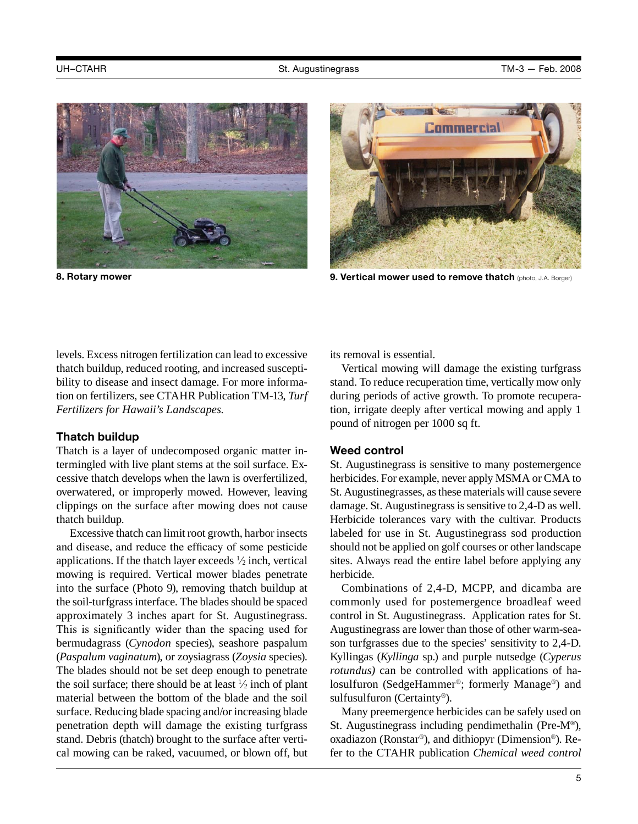



**8. Rotary mower 9. Vertical mower used to remove thatch** (photo, J.A. Borger)

levels. Excess nitrogen fertilization can lead to excessive thatch buildup, reduced rooting, and increased susceptibility to disease and insect damage. For more information on fertilizers, see CTAHR Publication TM-13, *Turf Fertilizers for Hawaii's Landscapes.*

#### **Thatch buildup**

Thatch is a layer of undecomposed organic matter intermingled with live plant stems at the soil surface. Excessive thatch develops when the lawn is overfertilized, overwatered, or improperly mowed. However, leaving clippings on the surface after mowing does not cause thatch buildup.

Excessive thatch can limit root growth, harbor insects and disease, and reduce the efficacy of some pesticide applications. If the thatch layer exceeds  $\frac{1}{2}$  inch, vertical mowing is required. Vertical mower blades penetrate into the surface (Photo 9), removing thatch buildup at the soil-turfgrass interface. The blades should be spaced approximately 3 inches apart for St. Augustinegrass. This is significantly wider than the spacing used for bermudagrass (*Cynodon* species), seashore paspalum (*Paspalum vaginatum*), or zoysiagrass (*Zoysia* species). The blades should not be set deep enough to penetrate the soil surface; there should be at least  $\frac{1}{2}$  inch of plant material between the bottom of the blade and the soil surface. Reducing blade spacing and/or increasing blade penetration depth will damage the existing turfgrass stand. Debris (thatch) brought to the surface after vertical mowing can be raked, vacuumed, or blown off, but its removal is essential.

Vertical mowing will damage the existing turfgrass stand. To reduce recuperation time, vertically mow only during periods of active growth. To promote recuperation, irrigate deeply after vertical mowing and apply 1 pound of nitrogen per 1000 sq ft.

## **Weed control**

St. Augustinegrass is sensitive to many postemergence herbicides. For example, never apply MSMA or CMA to St. Augustinegrasses, as these materials will cause severe damage. St. Augustinegrass is sensitive to 2,4-D as well. Herbicide tolerances vary with the cultivar. Products labeled for use in St. Augustinegrass sod production should not be applied on golf courses or other landscape sites. Always read the entire label before applying any herbicide.

Combinations of 2,4-D, MCPP, and dicamba are commonly used for postemergence broadleaf weed control in St. Augustinegrass. Application rates for St. Augustinegrass are lower than those of other warm-season turfgrasses due to the species' sensitivity to 2,4-D. Kyllingas (*Kyllinga* sp.) and purple nutsedge (*Cyperus rotundus*) can be controlled with applications of halosulfuron (SedgeHammer®; formerly Manage®) and sulfusulfuron (Certainty®).

Many preemergence herbicides can be safely used on St. Augustinegrass including pendimethalin (Pre-M®), oxadiazon (Ronstar®), and dithiopyr (Dimension®). Refer to the CTAHR publication *Chemical weed control*